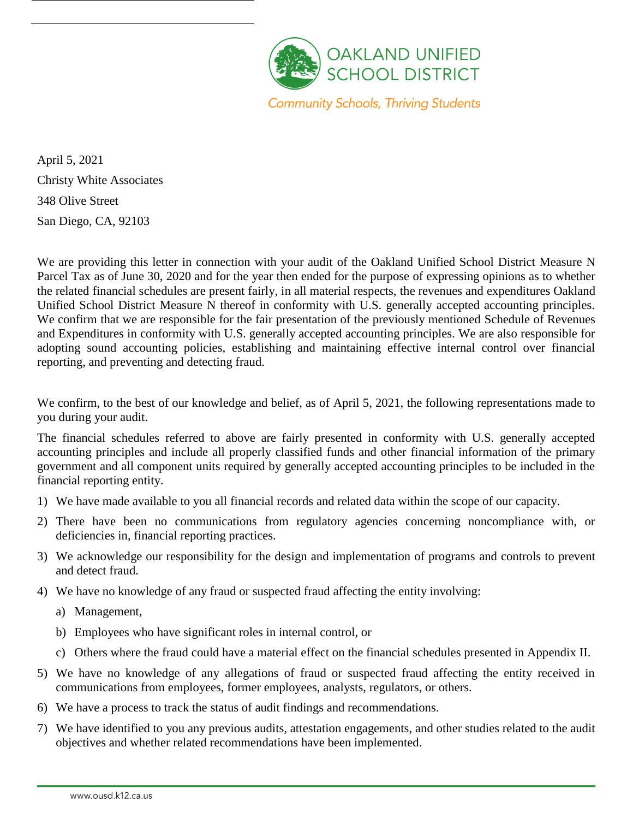

**Community Schools, Thriving Students** 

April 5, 2021 Christy White Associates 348 Olive Street San Diego, CA, 92103

We are providing this letter in connection with your audit of the Oakland Unified School District Measure N Parcel Tax as of June 30, 2020 and for the year then ended for the purpose of expressing opinions as to whether the related financial schedules are present fairly, in all material respects, the revenues and expenditures Oakland Unified School District Measure N thereof in conformity with U.S. generally accepted accounting principles. We confirm that we are responsible for the fair presentation of the previously mentioned Schedule of Revenues and Expenditures in conformity with U.S. generally accepted accounting principles. We are also responsible for adopting sound accounting policies, establishing and maintaining effective internal control over financial reporting, and preventing and detecting fraud.

We confirm, to the best of our knowledge and belief, as of April 5, 2021, the following representations made to you during your audit.

The financial schedules referred to above are fairly presented in conformity with U.S. generally accepted accounting principles and include all properly classified funds and other financial information of the primary government and all component units required by generally accepted accounting principles to be included in the financial reporting entity.

- 1) We have made available to you all financial records and related data within the scope of our capacity.
- 2) There have been no communications from regulatory agencies concerning noncompliance with, or deficiencies in, financial reporting practices.
- 3) We acknowledge our responsibility for the design and implementation of programs and controls to prevent and detect fraud.
- 4) We have no knowledge of any fraud or suspected fraud affecting the entity involving:
	- a) Management,
	- b) Employees who have significant roles in internal control, or
	- c) Others where the fraud could have a material effect on the financial schedules presented in Appendix II.
- 5) We have no knowledge of any allegations of fraud or suspected fraud affecting the entity received in communications from employees, former employees, analysts, regulators, or others.
- 6) We have a process to track the status of audit findings and recommendations.
- 7) We have identified to you any previous audits, attestation engagements, and other studies related to the audit objectives and whether related recommendations have been implemented.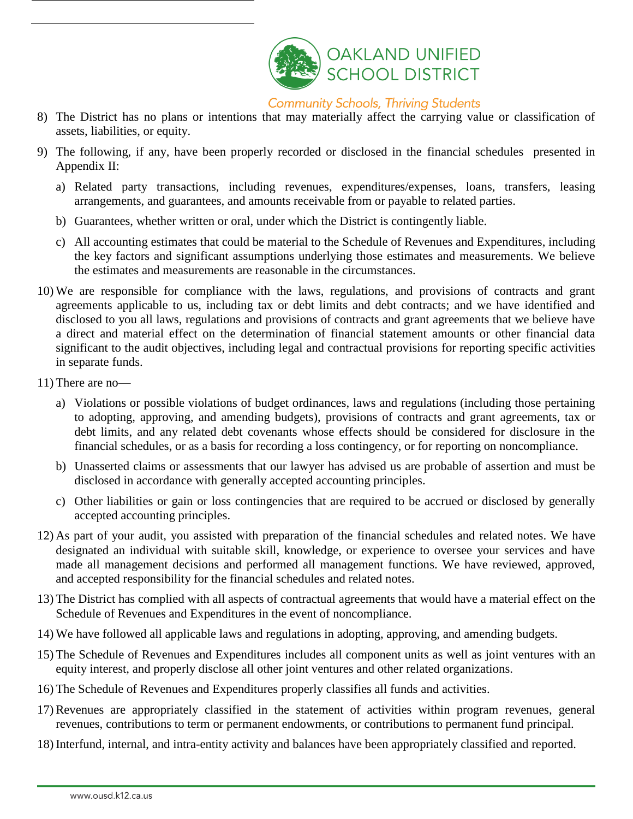

## **Community Schools, Thriving Students**

- 8) The District has no plans or intentions that may materially affect the carrying value or classification of assets, liabilities, or equity.
- 9) The following, if any, have been properly recorded or disclosed in the financial schedules presented in Appendix II:
	- a) Related party transactions, including revenues, expenditures/expenses, loans, transfers, leasing arrangements, and guarantees, and amounts receivable from or payable to related parties.
	- b) Guarantees, whether written or oral, under which the District is contingently liable.
	- c) All accounting estimates that could be material to the Schedule of Revenues and Expenditures, including the key factors and significant assumptions underlying those estimates and measurements. We believe the estimates and measurements are reasonable in the circumstances.
- 10) We are responsible for compliance with the laws, regulations, and provisions of contracts and grant agreements applicable to us, including tax or debt limits and debt contracts; and we have identified and disclosed to you all laws, regulations and provisions of contracts and grant agreements that we believe have a direct and material effect on the determination of financial statement amounts or other financial data significant to the audit objectives, including legal and contractual provisions for reporting specific activities in separate funds.
- 11) There are no
	- a) Violations or possible violations of budget ordinances, laws and regulations (including those pertaining to adopting, approving, and amending budgets), provisions of contracts and grant agreements, tax or debt limits, and any related debt covenants whose effects should be considered for disclosure in the financial schedules, or as a basis for recording a loss contingency, or for reporting on noncompliance.
	- b) Unasserted claims or assessments that our lawyer has advised us are probable of assertion and must be disclosed in accordance with generally accepted accounting principles.
	- c) Other liabilities or gain or loss contingencies that are required to be accrued or disclosed by generally accepted accounting principles.
- 12) As part of your audit, you assisted with preparation of the financial schedules and related notes. We have designated an individual with suitable skill, knowledge, or experience to oversee your services and have made all management decisions and performed all management functions. We have reviewed, approved, and accepted responsibility for the financial schedules and related notes.
- 13) The District has complied with all aspects of contractual agreements that would have a material effect on the Schedule of Revenues and Expenditures in the event of noncompliance.
- 14) We have followed all applicable laws and regulations in adopting, approving, and amending budgets.
- 15) The Schedule of Revenues and Expenditures includes all component units as well as joint ventures with an equity interest, and properly disclose all other joint ventures and other related organizations.
- 16) The Schedule of Revenues and Expenditures properly classifies all funds and activities.
- 17) Revenues are appropriately classified in the statement of activities within program revenues, general revenues, contributions to term or permanent endowments, or contributions to permanent fund principal.
- 18) Interfund, internal, and intra-entity activity and balances have been appropriately classified and reported.